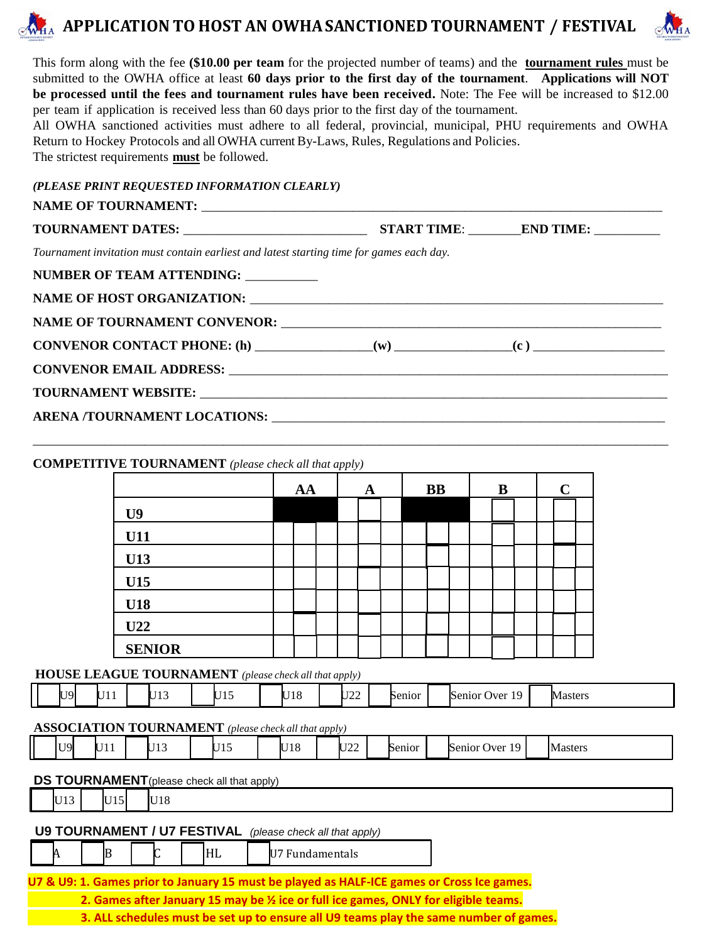## **APPLICATION TO HOST AN OWHASANCTIONED TOURNAMENT / FESTIVAL**



This form along with the fee **(\$10.00 per team** for the projected number of teams) and the **tournament rules** must be submitted to the OWHA office at least **60 days prior to the first day of the tournament**. **Applications will NOT be processed until the fees and tournament rules have been received.** Note: The Fee will be increased to \$12.00 per team if application is received less than 60 days prior to the first day of the tournament.

All OWHA sanctioned activities must adhere to all federal, provincial, municipal, PHU requirements and OWHA Return to Hockey Protocols and all OWHA current By-Laws, Rules, Regulations and Policies. The strictest requirements **must** be followed.

| (PLEASE PRINT REQUESTED INFORMATION CLEARLY) |  |
|----------------------------------------------|--|
|----------------------------------------------|--|

| <b>NAME OF TOURNAMENT:</b> |  |
|----------------------------|--|
|                            |  |

| Tournament invitation must contain earliest and latest starting time for games each day. |  |
|------------------------------------------------------------------------------------------|--|
| NUMBER OF TEAM ATTENDING: _________                                                      |  |
|                                                                                          |  |
|                                                                                          |  |
|                                                                                          |  |
|                                                                                          |  |
|                                                                                          |  |
|                                                                                          |  |
|                                                                                          |  |

\_\_\_\_\_\_\_\_\_\_\_\_\_\_\_\_\_\_\_\_\_\_\_\_\_\_\_\_\_\_\_\_\_\_\_\_\_\_\_\_\_\_\_\_\_\_\_\_\_\_\_\_\_\_\_\_\_\_\_\_\_\_\_\_\_\_\_\_\_\_\_\_\_\_\_\_\_\_\_\_\_\_\_\_\_\_\_\_\_\_\_\_\_\_\_\_\_

#### **COMPETITIVE TOURNAMENT** *(please check all that apply)*

|                | AA |  | A |  | <b>BB</b> |  | B |  | $\mathbf C$ |  |
|----------------|----|--|---|--|-----------|--|---|--|-------------|--|
| U <sub>9</sub> |    |  |   |  |           |  |   |  |             |  |
| U11            |    |  |   |  |           |  |   |  |             |  |
| U13            |    |  |   |  |           |  |   |  |             |  |
| U15            |    |  |   |  |           |  |   |  |             |  |
| U18            |    |  |   |  |           |  |   |  |             |  |
| U22            |    |  |   |  |           |  |   |  |             |  |
| <b>SENIOR</b>  |    |  |   |  |           |  |   |  |             |  |

#### **HOUSE LEAGUE TOURNAMENT** *(please check all that apply)*

| $\blacksquare$ TQI<br><b>Senior</b><br>Over)<br>Senior<br>Masters<br>- 19<br>℡<br>---<br>. .<br>. .<br>. .<br> |
|----------------------------------------------------------------------------------------------------------------|
|----------------------------------------------------------------------------------------------------------------|

#### **ASSOCIATION TOURNAMENT** *(please check all that apply)*

| 'U9l<br>U18<br>lr ⊤∩∩<br><b>FT4F</b><br><b>FT4</b><br>T10<br>10<br><b>Masters</b><br><b>Senior</b> Over<br>Senior<br>. L.J<br>ı<br>. .<br>$\sim$ 44<br>∼<br>-<br>. .<br>. . |  |  |  |  |  |  |  |  |
|-----------------------------------------------------------------------------------------------------------------------------------------------------------------------------|--|--|--|--|--|--|--|--|
|-----------------------------------------------------------------------------------------------------------------------------------------------------------------------------|--|--|--|--|--|--|--|--|

#### **DS TOURNAMENT**(please check all that apply)

| U13                                                                                        |  | U15' |  | IU 18 |  |  |                                                                  |  |  |  |  |  |  |
|--------------------------------------------------------------------------------------------|--|------|--|-------|--|--|------------------------------------------------------------------|--|--|--|--|--|--|
|                                                                                            |  |      |  |       |  |  | <b>U9 TOURNAMENT / U7 FESTIVAL</b> (please check all that apply) |  |  |  |  |  |  |
|                                                                                            |  |      |  |       |  |  | U7 Fundamentals                                                  |  |  |  |  |  |  |
| U7 & U9: 1. Games prior to January 15 must be played as HALF-ICE games or Cross Ice games. |  |      |  |       |  |  |                                                                  |  |  |  |  |  |  |

**2. Games after January 15 may be ½ ice or full ice games, ONLY for eligible teams.**

**3. ALL schedules must be set up to ensure all U9 teams play the same number of games.**